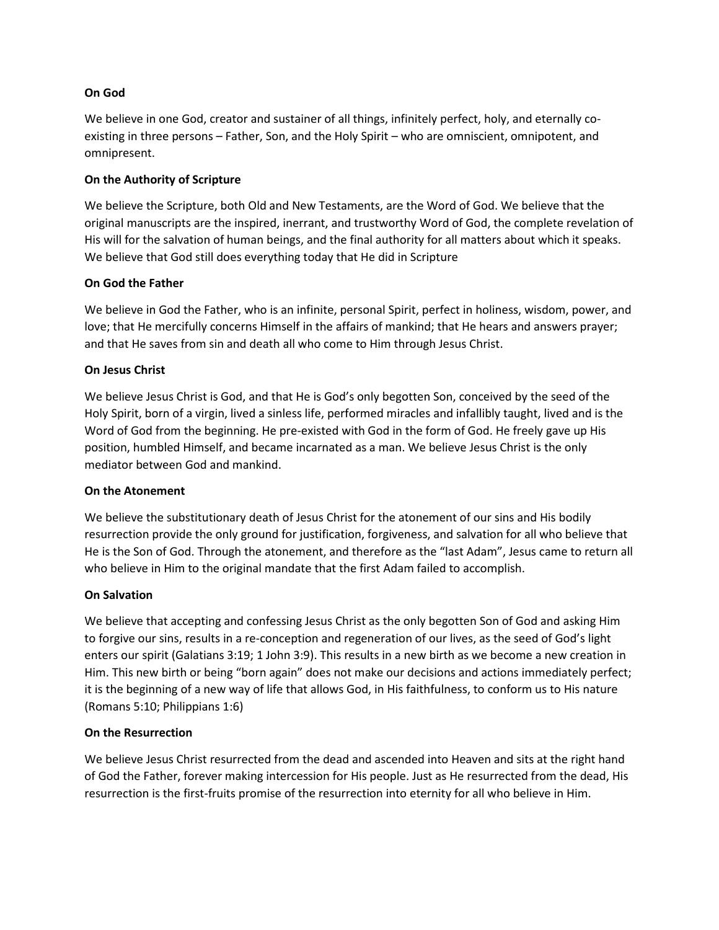### **On God**

We believe in one God, creator and sustainer of all things, infinitely perfect, holy, and eternally coexisting in three persons – Father, Son, and the Holy Spirit – who are omniscient, omnipotent, and omnipresent.

### **On the Authority of Scripture**

We believe the Scripture, both Old and New Testaments, are the Word of God. We believe that the original manuscripts are the inspired, inerrant, and trustworthy Word of God, the complete revelation of His will for the salvation of human beings, and the final authority for all matters about which it speaks. We believe that God still does everything today that He did in Scripture

## **On God the Father**

We believe in God the Father, who is an infinite, personal Spirit, perfect in holiness, wisdom, power, and love; that He mercifully concerns Himself in the affairs of mankind; that He hears and answers prayer; and that He saves from sin and death all who come to Him through Jesus Christ.

## **On Jesus Christ**

We believe Jesus Christ is God, and that He is God's only begotten Son, conceived by the seed of the Holy Spirit, born of a virgin, lived a sinless life, performed miracles and infallibly taught, lived and is the Word of God from the beginning. He pre-existed with God in the form of God. He freely gave up His position, humbled Himself, and became incarnated as a man. We believe Jesus Christ is the only mediator between God and mankind.

### **On the Atonement**

We believe the substitutionary death of Jesus Christ for the atonement of our sins and His bodily resurrection provide the only ground for justification, forgiveness, and salvation for all who believe that He is the Son of God. Through the atonement, and therefore as the "last Adam", Jesus came to return all who believe in Him to the original mandate that the first Adam failed to accomplish.

### **On Salvation**

We believe that accepting and confessing Jesus Christ as the only begotten Son of God and asking Him to forgive our sins, results in a re-conception and regeneration of our lives, as the seed of God's light enters our spirit (Galatians 3:19; 1 John 3:9). This results in a new birth as we become a new creation in Him. This new birth or being "born again" does not make our decisions and actions immediately perfect; it is the beginning of a new way of life that allows God, in His faithfulness, to conform us to His nature (Romans 5:10; Philippians 1:6)

### **On the Resurrection**

We believe Jesus Christ resurrected from the dead and ascended into Heaven and sits at the right hand of God the Father, forever making intercession for His people. Just as He resurrected from the dead, His resurrection is the first-fruits promise of the resurrection into eternity for all who believe in Him.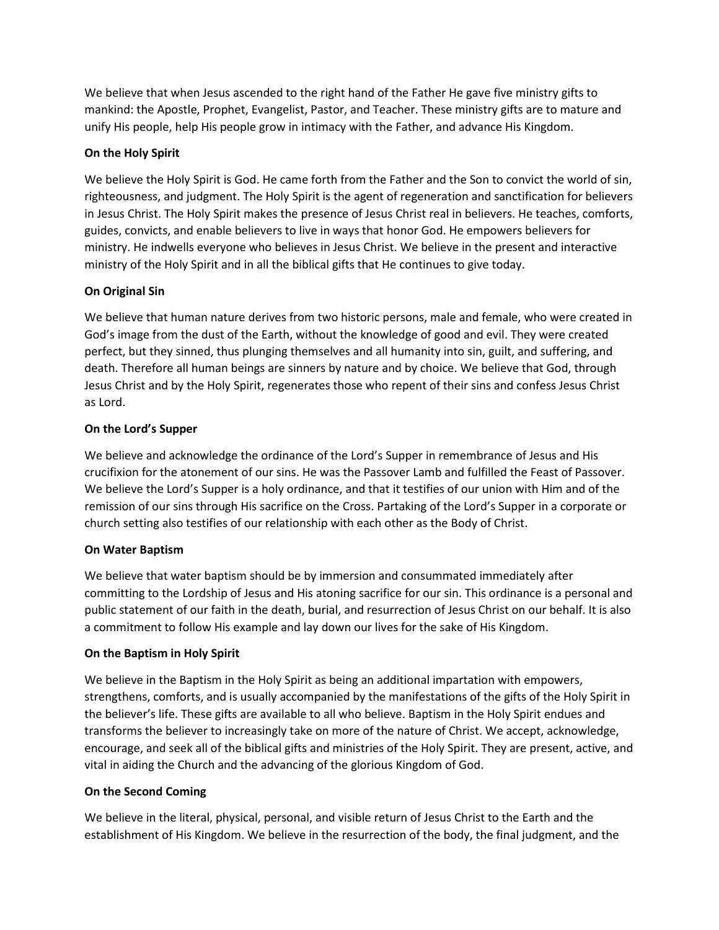We believe that when Jesus ascended to the right hand of the Father He gave five ministry gifts to mankind: the Apostle, Prophet, Evangelist, Pastor, and Teacher. These ministry gifts are to mature and unify His people, help His people grow in intimacy with the Father, and advance His Kingdom.

# **On the Holy Spirit**

We believe the Holy Spirit is God. He came forth from the Father and the Son to convict the world of sin, righteousness, and judgment. The Holy Spirit is the agent of regeneration and sanctification for believers in Jesus Christ. The Holy Spirit makes the presence of Jesus Christ real in believers. He teaches, comforts, guides, convicts, and enable believers to live in ways that honor God. He empowers believers for ministry. He indwells everyone who believes in Jesus Christ. We believe in the present and interactive ministry of the Holy Spirit and in all the biblical gifts that He continues to give today.

## **On Original Sin**

We believe that human nature derives from two historic persons, male and female, who were created in God's image from the dust of the Earth, without the knowledge of good and evil. They were created perfect, but they sinned, thus plunging themselves and all humanity into sin, guilt, and suffering, and death. Therefore all human beings are sinners by nature and by choice. We believe that God, through Jesus Christ and by the Holy Spirit, regenerates those who repent of their sins and confess Jesus Christ as Lord.

## **On the Lord's Supper**

We believe and acknowledge the ordinance of the Lord's Supper in remembrance of Jesus and His crucifixion for the atonement of our sins. He was the Passover Lamb and fulfilled the Feast of Passover. We believe the Lord's Supper is a holy ordinance, and that it testifies of our union with Him and of the remission of our sins through His sacrifice on the Cross. Partaking of the Lord's Supper in a corporate or church setting also testifies of our relationship with each other as the Body of Christ.

### **On Water Baptism**

We believe that water baptism should be by immersion and consummated immediately after committing to the Lordship of Jesus and His atoning sacrifice for our sin. This ordinance is a personal and public statement of our faith in the death, burial, and resurrection of Jesus Christ on our behalf. It is also a commitment to follow His example and lay down our lives for the sake of His Kingdom.

### **On the Baptism in Holy Spirit**

We believe in the Baptism in the Holy Spirit as being an additional impartation with empowers, strengthens, comforts, and is usually accompanied by the manifestations of the gifts of the Holy Spirit in the believer's life. These gifts are available to all who believe. Baptism in the Holy Spirit endues and transforms the believer to increasingly take on more of the nature of Christ. We accept, acknowledge, encourage, and seek all of the biblical gifts and ministries of the Holy Spirit. They are present, active, and vital in aiding the Church and the advancing of the glorious Kingdom of God.

### **On the Second Coming**

We believe in the literal, physical, personal, and visible return of Jesus Christ to the Earth and the establishment of His Kingdom. We believe in the resurrection of the body, the final judgment, and the